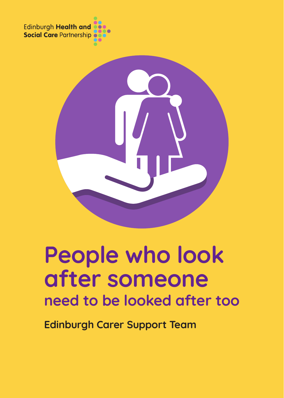Edinburgh Health and<br>Social Care Partnership



# People who look after someone need to be looked after too

Edinburgh Carer Support Team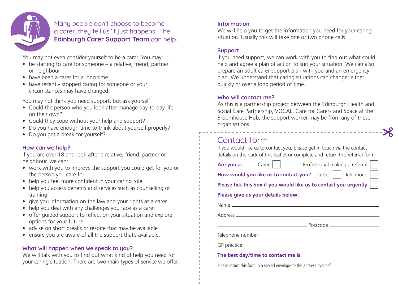

Many people don't choose to become a carer, they tell us 'it just happens'. The Edinburgh Carer Support Team can help.

You may not even consider yourself to be a carer. You may:

- be starting to care for someone a relative, friend, partner or neighbour
- have been a carer for a long time
- have recently stopped caring for someone or your circumstances may have changed.

You may not think you need support, but ask yourself:

- Could the person who you look after manage day-to-day life on their own?
- Could they cope without your help and support?
- Do you have enough time to think about yourself properly?
- Do you get a break for yourself?

### How can we help?

If you are over 18 and look after a relative, friend, partner or neighbour, we can:

- work with you to improve the support you could get for you or the person you care for
- help you feel more confident in your caring role
- help you access benefits and services such as counselling or training
- give you information on the law and your rights as a carer
- help you deal with any challenges you face as a carer
- offer guided support to reflect on your situation and explore options for your future
- advise on short breaks or respite that may be available
- ensure you are aware of all the support that's available.

### What will happen when we speak to you?

We will talk with you to find out what kind of help you need for your caring situation. There are two main types of service we offer.

### Information

We will help you to get the information you need for your caring situation. Usually this will take one or two phone calls.

### Support

If you need support, we can work with you to find out what could help and agree a plan of action to suit your situation. We can also prepare an adult carer support plan with you and an emergency plan. We understand that caring situations can change; either quickly or over a long period of time.

### Who will contact me?

As this is a partnership project between the Edinburgh Health and Social Care Partnership, VOCAL, Care for Carers and Space at the Broomhouse Hub, the support worker may be from any of these organisations.

### Contact form

If you would like us to contact you, please get in touch via the contact details on the back of this leaflet or complete and return this referral form.

|                                                                               |  | <b>Are you a:</b> Carer     Professional making a referral |  |  |  |
|-------------------------------------------------------------------------------|--|------------------------------------------------------------|--|--|--|
| How would you like us to contact you? Letter     Telephone                    |  |                                                            |  |  |  |
| Please tick this box if you would like us to contact you urgently $\ \cdot\ $ |  |                                                            |  |  |  |
| Please give us your details below:                                            |  |                                                            |  |  |  |
|                                                                               |  |                                                            |  |  |  |
|                                                                               |  |                                                            |  |  |  |
|                                                                               |  |                                                            |  |  |  |
|                                                                               |  |                                                            |  |  |  |
|                                                                               |  |                                                            |  |  |  |
|                                                                               |  |                                                            |  |  |  |
|                                                                               |  |                                                            |  |  |  |

Please return this form in a sealed envelope to the address overleaf.